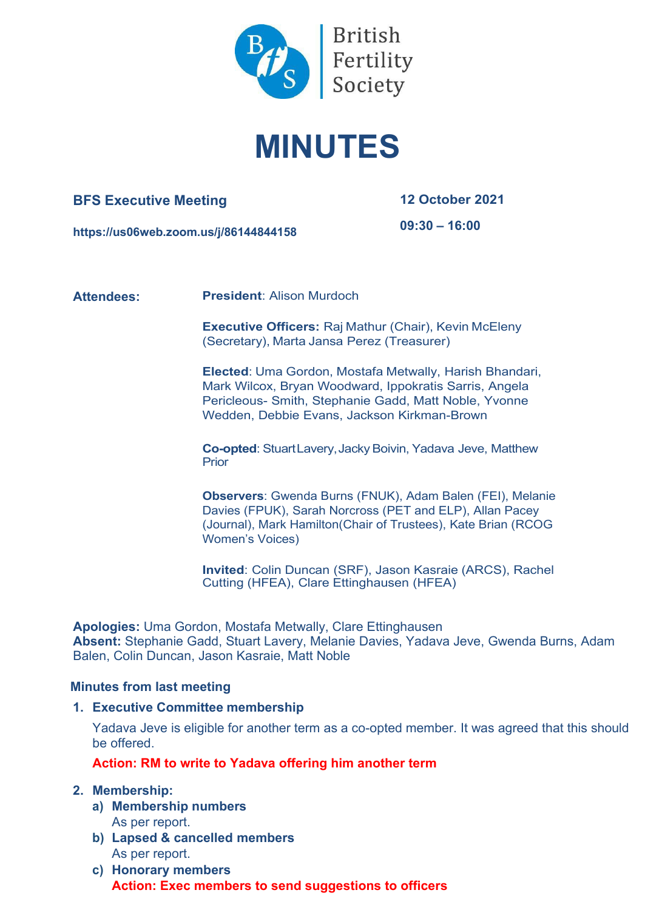

# **MINUTES**

# **BFS Executive Meeting**

**12 October 2021**

**https://us06web.zoom.us/j/86144844158**

**09:30 – 16:00**

**Attendees: President**: Alison Murdoch

**Executive Officers:** Raj Mathur (Chair), Kevin McEleny (Secretary), Marta Jansa Perez (Treasurer)

**Elected**: Uma Gordon, Mostafa Metwally, Harish Bhandari, Mark Wilcox, Bryan Woodward, Ippokratis Sarris, Angela Pericleous- Smith, Stephanie Gadd, Matt Noble, Yvonne Wedden, Debbie Evans, Jackson Kirkman-Brown

**Co-opted: StuartLavery, Jacky Boivin, Yadava Jeve, Matthew Prior** 

**Observers**: Gwenda Burns (FNUK), Adam Balen (FEI), Melanie Davies (FPUK), Sarah Norcross (PET and ELP), Allan Pacey (Journal), Mark Hamilton(Chair of Trustees), Kate Brian (RCOG Women's Voices)

**Invited**: Colin Duncan (SRF), Jason Kasraie (ARCS), Rachel Cutting (HFEA), Clare Ettinghausen (HFEA)

**Apologies:** Uma Gordon, Mostafa Metwally, Clare Ettinghausen **Absent:** Stephanie Gadd, Stuart Lavery, Melanie Davies, Yadava Jeve, Gwenda Burns, Adam Balen, Colin Duncan, Jason Kasraie, Matt Noble

# **Minutes from last meeting**

# **1. Executive Committee membership**

Yadava Jeve is eligible for another term as a co-opted member. It was agreed that this should be offered.

# **Action: RM to write to Yadava offering him another term**

# **2. Membership:**

- **a) Membership numbers** As per report.
- **b) Lapsed & cancelled members** As per report.
- **c) Honorary members Action: Exec members to send suggestions to officers**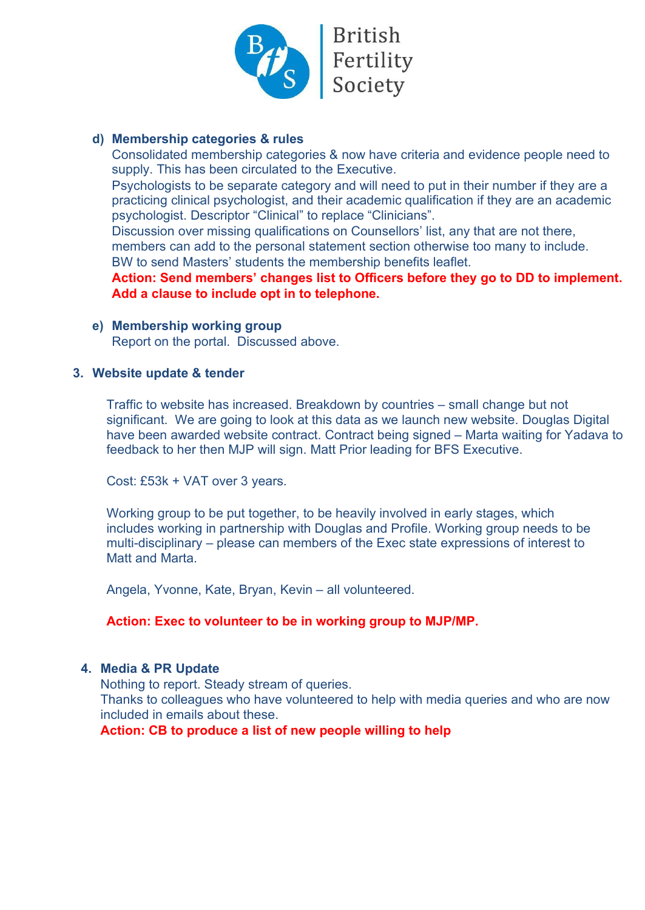

British<br>Fertility<br>Society

# **d) Membership categories & rules**

Consolidated membership categories & now have criteria and evidence people need to supply. This has been circulated to the Executive.

Psychologists to be separate category and will need to put in their number if they are a practicing clinical psychologist, and their academic qualification if they are an academic psychologist. Descriptor "Clinical" to replace "Clinicians".

Discussion over missing qualifications on Counsellors' list, any that are not there, members can add to the personal statement section otherwise too many to include.

BW to send Masters' students the membership benefits leaflet.

**Action: Send members' changes list to Officers before they go to DD to implement. Add a clause to include opt in to telephone.**

**e) Membership working group**

Report on the portal. Discussed above.

# **3. Website update & tender**

Traffic to website has increased. Breakdown by countries – small change but not significant. We are going to look at this data as we launch new website. Douglas Digital have been awarded website contract. Contract being signed – Marta waiting for Yadava to feedback to her then MJP will sign. Matt Prior leading for BFS Executive.

Cost: £53k + VAT over 3 years.

Working group to be put together, to be heavily involved in early stages, which includes working in partnership with Douglas and Profile. Working group needs to be multi-disciplinary – please can members of the Exec state expressions of interest to Matt and Marta.

Angela, Yvonne, Kate, Bryan, Kevin – all volunteered.

# **Action: Exec to volunteer to be in working group to MJP/MP.**

# **4. Media & PR Update**

Nothing to report. Steady stream of queries. Thanks to colleagues who have volunteered to help with media queries and who are now included in emails about these. **Action: CB to produce a list of new people willing to help**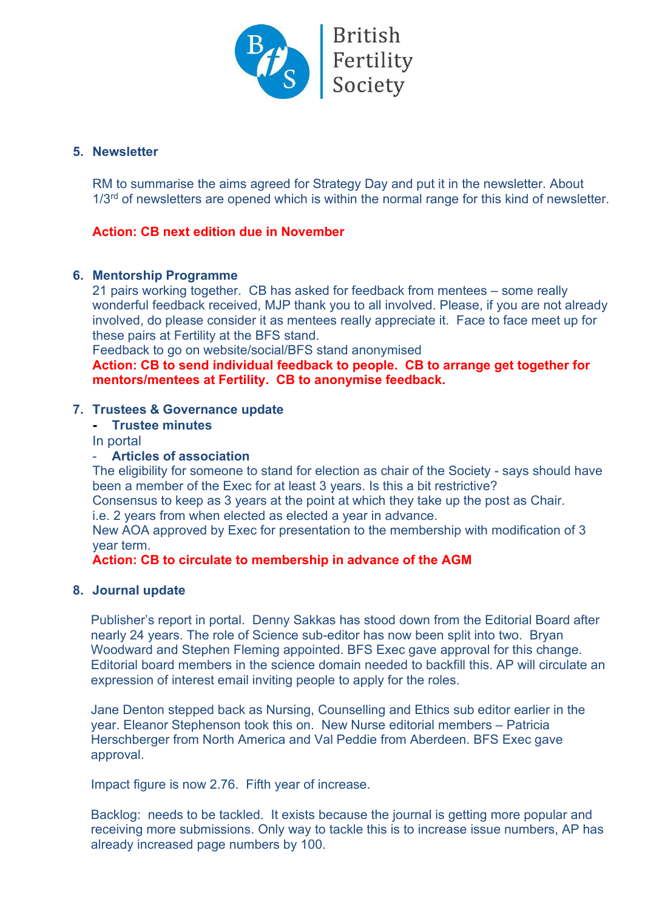

# **5. Newsletter**

RM to summarise the aims agreed for Strategy Day and put it in the newsletter. About  $1/3<sup>rd</sup>$  of newsletters are opened which is within the normal range for this kind of newsletter.

# **Action: CB next edition due in November**

# **6. Mentorship Programme**

21 pairs working together. CB has asked for feedback from mentees – some really wonderful feedback received, MJP thank you to all involved. Please, if you are not already involved, do please consider it as mentees really appreciate it. Face to face meet up for these pairs at Fertility at the BFS stand.

Feedback to go on website/social/BFS stand anonymised

**Action: CB to send individual feedback to people. CB to arrange get together for mentors/mentees at Fertility. CB to anonymise feedback.**

# **7. Trustees & Governance update**

# **- Trustee minutes**

In portal

# - **Articles of association**

The eligibility for someone to stand for election as chair of the Society - says should have been a member of the Exec for at least 3 years. Is this a bit restrictive?

Consensus to keep as 3 years at the point at which they take up the post as Chair.

i.e. 2 years from when elected as elected a year in advance.

New AOA approved by Exec for presentation to the membership with modification of 3 year term.

**Action: CB to circulate to membership in advance of the AGM** 

# **8. Journal update**

Publisher's report in portal. Denny Sakkas has stood down from the Editorial Board after nearly 24 years. The role of Science sub-editor has now been split into two. Bryan Woodward and Stephen Fleming appointed. BFS Exec gave approval for this change. Editorial board members in the science domain needed to backfill this. AP will circulate an expression of interest email inviting people to apply for the roles.

Jane Denton stepped back as Nursing, Counselling and Ethics sub editor earlier in the year. Eleanor Stephenson took this on. New Nurse editorial members – Patricia Herschberger from North America and Val Peddie from Aberdeen. BFS Exec gave approval.

Impact figure is now 2.76. Fifth year of increase.

Backlog: needs to be tackled. It exists because the journal is getting more popular and receiving more submissions. Only way to tackle this is to increase issue numbers, AP has already increased page numbers by 100.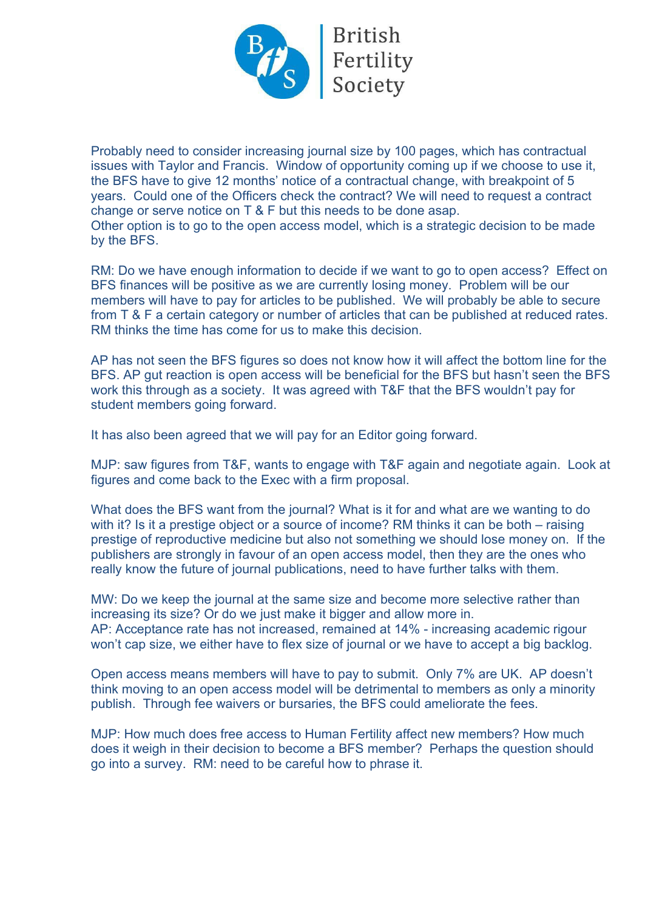

Probably need to consider increasing journal size by 100 pages, which has contractual issues with Taylor and Francis. Window of opportunity coming up if we choose to use it, the BFS have to give 12 months' notice of a contractual change, with breakpoint of 5 years. Could one of the Officers check the contract? We will need to request a contract change or serve notice on T & F but this needs to be done asap. Other option is to go to the open access model, which is a strategic decision to be made by the BFS.

RM: Do we have enough information to decide if we want to go to open access? Effect on BFS finances will be positive as we are currently losing money. Problem will be our members will have to pay for articles to be published. We will probably be able to secure from T & F a certain category or number of articles that can be published at reduced rates. RM thinks the time has come for us to make this decision.

AP has not seen the BFS figures so does not know how it will affect the bottom line for the BFS. AP gut reaction is open access will be beneficial for the BFS but hasn't seen the BFS work this through as a society. It was agreed with T&F that the BFS wouldn't pay for student members going forward.

It has also been agreed that we will pay for an Editor going forward.

MJP: saw figures from T&F, wants to engage with T&F again and negotiate again. Look at figures and come back to the Exec with a firm proposal.

What does the BFS want from the journal? What is it for and what are we wanting to do with it? Is it a prestige object or a source of income? RM thinks it can be both – raising prestige of reproductive medicine but also not something we should lose money on. If the publishers are strongly in favour of an open access model, then they are the ones who really know the future of journal publications, need to have further talks with them.

MW: Do we keep the journal at the same size and become more selective rather than increasing its size? Or do we just make it bigger and allow more in. AP: Acceptance rate has not increased, remained at 14% - increasing academic rigour won't cap size, we either have to flex size of journal or we have to accept a big backlog.

Open access means members will have to pay to submit. Only 7% are UK. AP doesn't think moving to an open access model will be detrimental to members as only a minority publish. Through fee waivers or bursaries, the BFS could ameliorate the fees.

MJP: How much does free access to Human Fertility affect new members? How much does it weigh in their decision to become a BFS member? Perhaps the question should go into a survey. RM: need to be careful how to phrase it.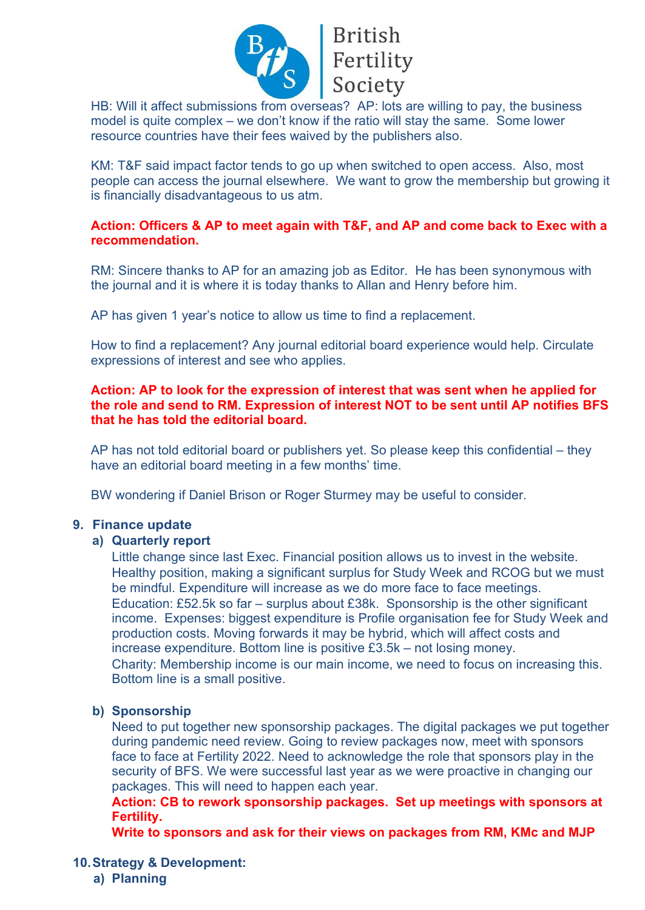

# British<br>
Fertility<br>
Society

HB: Will it affect submissions from overseas? AP: lots are willing to pay, the business model is quite complex – we don't know if the ratio will stay the same. Some lower resource countries have their fees waived by the publishers also.

KM: T&F said impact factor tends to go up when switched to open access. Also, most people can access the journal elsewhere. We want to grow the membership but growing it is financially disadvantageous to us atm.

# **Action: Officers & AP to meet again with T&F, and AP and come back to Exec with a recommendation.**

RM: Sincere thanks to AP for an amazing job as Editor. He has been synonymous with the journal and it is where it is today thanks to Allan and Henry before him.

AP has given 1 year's notice to allow us time to find a replacement.

How to find a replacement? Any journal editorial board experience would help. Circulate expressions of interest and see who applies.

# **Action: AP to look for the expression of interest that was sent when he applied for the role and send to RM. Expression of interest NOT to be sent until AP notifies BFS that he has told the editorial board.**

AP has not told editorial board or publishers yet. So please keep this confidential – they have an editorial board meeting in a few months' time.

BW wondering if Daniel Brison or Roger Sturmey may be useful to consider.

# **9. Finance update**

# **a) Quarterly report**

Little change since last Exec. Financial position allows us to invest in the website. Healthy position, making a significant surplus for Study Week and RCOG but we must be mindful. Expenditure will increase as we do more face to face meetings. Education: £52.5k so far – surplus about £38k. Sponsorship is the other significant income. Expenses: biggest expenditure is Profile organisation fee for Study Week and production costs. Moving forwards it may be hybrid, which will affect costs and increase expenditure. Bottom line is positive £3.5k – not losing money. Charity: Membership income is our main income, we need to focus on increasing this. Bottom line is a small positive.

# **b) Sponsorship**

Need to put together new sponsorship packages. The digital packages we put together during pandemic need review. Going to review packages now, meet with sponsors face to face at Fertility 2022. Need to acknowledge the role that sponsors play in the security of BFS. We were successful last year as we were proactive in changing our packages. This will need to happen each year.

**Action: CB to rework sponsorship packages. Set up meetings with sponsors at Fertility.** 

**Write to sponsors and ask for their views on packages from RM, KMc and MJP**

# **10.Strategy & Development:**

**a) Planning**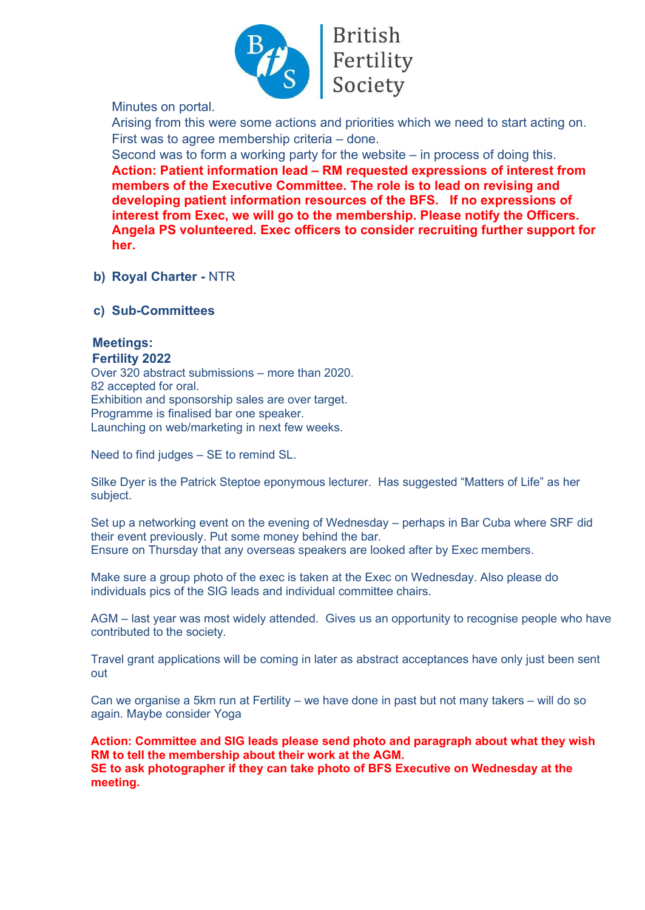

Minutes on portal.

Arising from this were some actions and priorities which we need to start acting on. First was to agree membership criteria – done.

Second was to form a working party for the website – in process of doing this. **Action: Patient information lead – RM requested expressions of interest from members of the Executive Committee. The role is to lead on revising and developing patient information resources of the BFS. If no expressions of interest from Exec, we will go to the membership. Please notify the Officers. Angela PS volunteered. Exec officers to consider recruiting further support for her.**

**b) Royal Charter -** NTR

**c) Sub-Committees**

# **Meetings:**

#### **Fertility 2022**

Over 320 abstract submissions – more than 2020. 82 accepted for oral. Exhibition and sponsorship sales are over target. Programme is finalised bar one speaker. Launching on web/marketing in next few weeks.

Need to find judges – SE to remind SL.

Silke Dyer is the Patrick Steptoe eponymous lecturer. Has suggested "Matters of Life" as her subject.

Set up a networking event on the evening of Wednesday – perhaps in Bar Cuba where SRF did their event previously. Put some money behind the bar. Ensure on Thursday that any overseas speakers are looked after by Exec members.

Make sure a group photo of the exec is taken at the Exec on Wednesday. Also please do individuals pics of the SIG leads and individual committee chairs.

AGM – last year was most widely attended. Gives us an opportunity to recognise people who have contributed to the society.

Travel grant applications will be coming in later as abstract acceptances have only just been sent out

Can we organise a 5km run at Fertility – we have done in past but not many takers – will do so again. Maybe consider Yoga

**Action: Committee and SIG leads please send photo and paragraph about what they wish RM to tell the membership about their work at the AGM. SE to ask photographer if they can take photo of BFS Executive on Wednesday at the meeting.**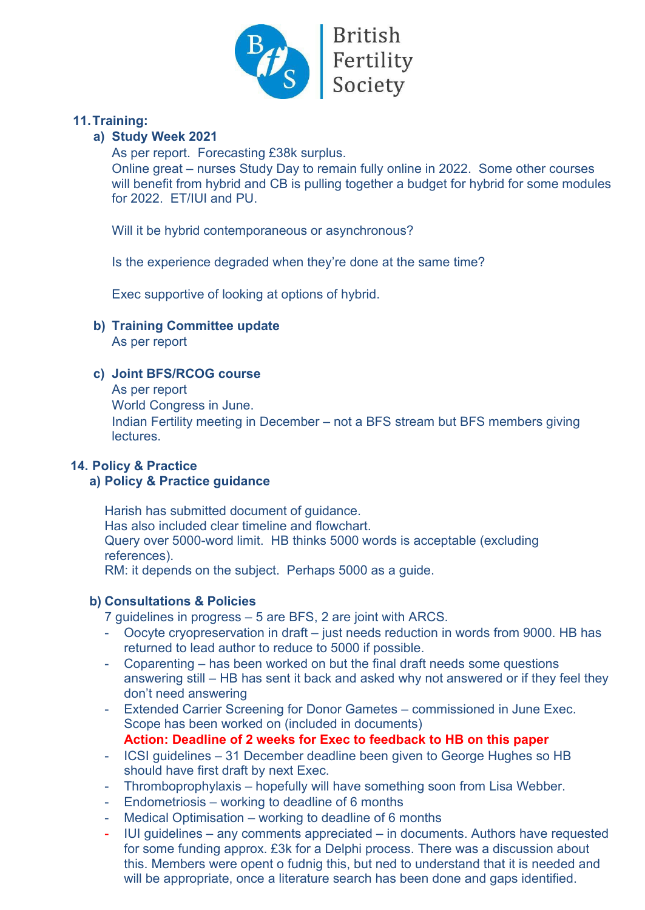

# British<br>Fertility<br>Society

# **11.Training:**

# **a) Study Week 2021**

As per report. Forecasting £38k surplus.

Online great – nurses Study Day to remain fully online in 2022. Some other courses will benefit from hybrid and CB is pulling together a budget for hybrid for some modules for 2022. ET/IUI and PU.

Will it be hybrid contemporaneous or asynchronous?

Is the experience degraded when they're done at the same time?

Exec supportive of looking at options of hybrid.

**b) Training Committee update**

As per report

# **c) Joint BFS/RCOG course**

As per report

World Congress in June.

Indian Fertility meeting in December – not a BFS stream but BFS members giving lectures.

# **14. Policy & Practice**

# **a) Policy & Practice guidance**

Harish has submitted document of guidance. Has also included clear timeline and flowchart. Query over 5000-word limit. HB thinks 5000 words is acceptable (excluding references). RM: it depends on the subject. Perhaps 5000 as a guide.

# **b) Consultations & Policies**

- 7 guidelines in progress 5 are BFS, 2 are joint with ARCS.
- Oocyte cryopreservation in draft just needs reduction in words from 9000. HB has returned to lead author to reduce to 5000 if possible.
- Coparenting has been worked on but the final draft needs some questions answering still – HB has sent it back and asked why not answered or if they feel they don't need answering
- Extended Carrier Screening for Donor Gametes commissioned in June Exec. Scope has been worked on (included in documents) **Action: Deadline of 2 weeks for Exec to feedback to HB on this paper**
- ICSI guidelines 31 December deadline been given to George Hughes so HB should have first draft by next Exec.
- Thromboprophylaxis hopefully will have something soon from Lisa Webber.
- Endometriosis working to deadline of 6 months
- Medical Optimisation working to deadline of 6 months
- IUI guidelines any comments appreciated in documents. Authors have requested for some funding approx. £3k for a Delphi process. There was a discussion about this. Members were opent o fudnig this, but ned to understand that it is needed and will be appropriate, once a literature search has been done and gaps identified.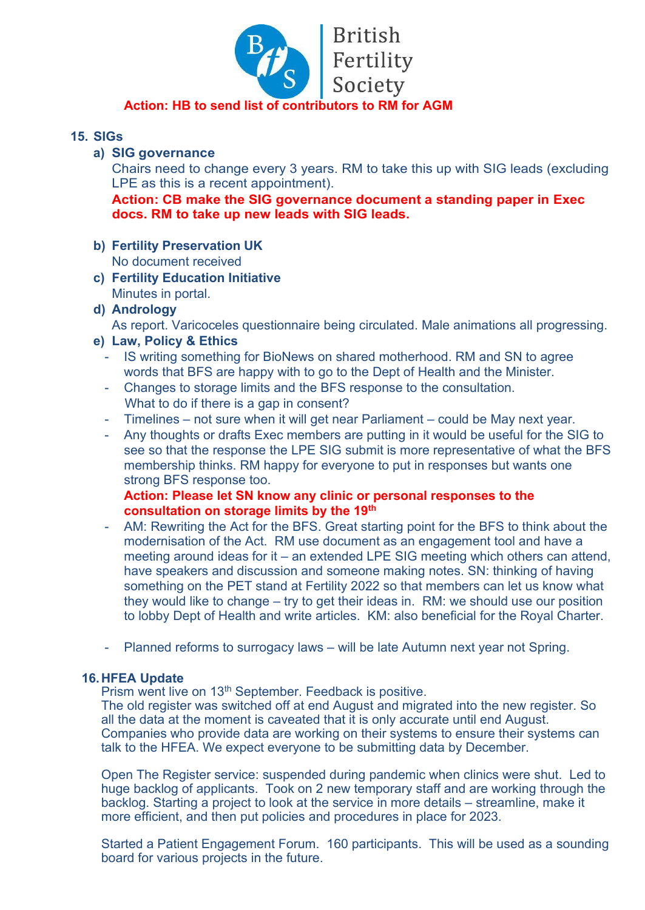

# **Action: HB to send list of contributors to RM for AGM**

# **15. SIGs**

# **a) SIG governance**

Chairs need to change every 3 years. RM to take this up with SIG leads (excluding LPE as this is a recent appointment).

**Action: CB make the SIG governance document a standing paper in Exec docs. RM to take up new leads with SIG leads.**

- **b) Fertility Preservation UK** No document received
- **c) Fertility Education Initiative** Minutes in portal.
- **d) Andrology**

As report. Varicoceles questionnaire being circulated. Male animations all progressing.

# **e) Law, Policy & Ethics**

- IS writing something for BioNews on shared motherhood. RM and SN to agree words that BFS are happy with to go to the Dept of Health and the Minister.
- Changes to storage limits and the BFS response to the consultation. What to do if there is a gap in consent?
- Timelines not sure when it will get near Parliament could be May next year.
- Any thoughts or drafts Exec members are putting in it would be useful for the SIG to see so that the response the LPE SIG submit is more representative of what the BFS membership thinks. RM happy for everyone to put in responses but wants one strong BFS response too.

**Action: Please let SN know any clinic or personal responses to the consultation on storage limits by the 19th**

- AM: Rewriting the Act for the BFS. Great starting point for the BFS to think about the modernisation of the Act. RM use document as an engagement tool and have a meeting around ideas for it – an extended LPE SIG meeting which others can attend, have speakers and discussion and someone making notes. SN: thinking of having something on the PET stand at Fertility 2022 so that members can let us know what they would like to change – try to get their ideas in. RM: we should use our position to lobby Dept of Health and write articles. KM: also beneficial for the Royal Charter.
- Planned reforms to surrogacy laws will be late Autumn next year not Spring.

# **16.HFEA Update**

Prism went live on 13<sup>th</sup> September. Feedback is positive.

The old register was switched off at end August and migrated into the new register. So all the data at the moment is caveated that it is only accurate until end August. Companies who provide data are working on their systems to ensure their systems can talk to the HFEA. We expect everyone to be submitting data by December.

Open The Register service: suspended during pandemic when clinics were shut. Led to huge backlog of applicants. Took on 2 new temporary staff and are working through the backlog. Starting a project to look at the service in more details – streamline, make it more efficient, and then put policies and procedures in place for 2023.

Started a Patient Engagement Forum. 160 participants. This will be used as a sounding board for various projects in the future.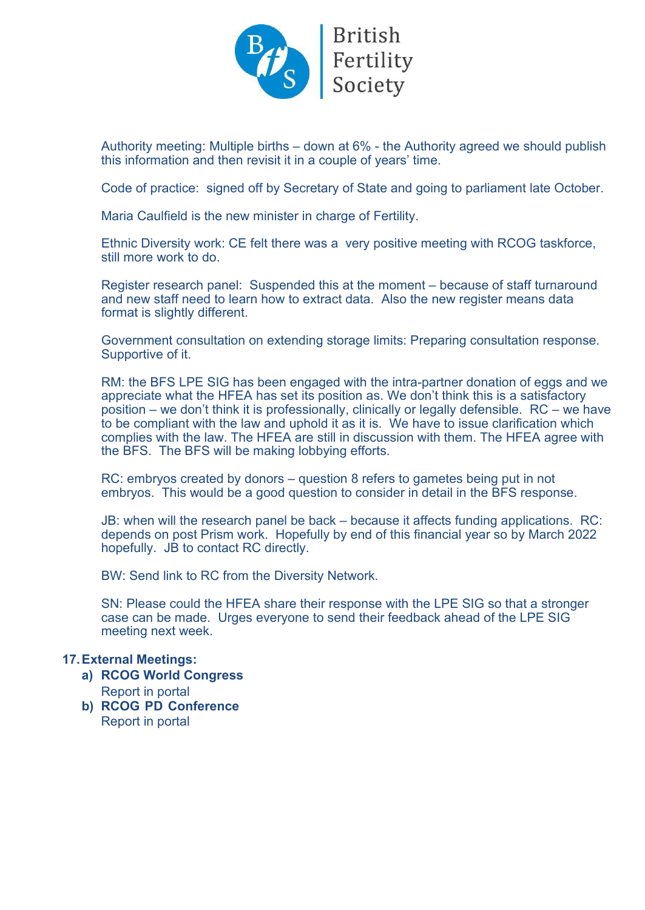

Authority meeting: Multiple births – down at 6% - the Authority agreed we should publish this information and then revisit it in a couple of years' time.

Code of practice: signed off by Secretary of State and going to parliament late October.

Maria Caulfield is the new minister in charge of Fertility.

Ethnic Diversity work: CE felt there was a very positive meeting with RCOG taskforce, still more work to do.

Register research panel: Suspended this at the moment – because of staff turnaround and new staff need to learn how to extract data. Also the new register means data format is slightly different.

Government consultation on extending storage limits: Preparing consultation response. Supportive of it.

RM: the BFS LPE SIG has been engaged with the intra-partner donation of eggs and we appreciate what the HFEA has set its position as. We don't think this is a satisfactory position – we don't think it is professionally, clinically or legally defensible. RC – we have to be compliant with the law and uphold it as it is. We have to issue clarification which complies with the law. The HFEA are still in discussion with them. The HFEA agree with the BFS. The BFS will be making lobbying efforts.

RC: embryos created by donors – question 8 refers to gametes being put in not embryos. This would be a good question to consider in detail in the BFS response.

JB: when will the research panel be back – because it affects funding applications. RC: depends on post Prism work. Hopefully by end of this financial year so by March 2022 hopefully. JB to contact RC directly.

BW: Send link to RC from the Diversity Network.

SN: Please could the HFEA share their response with the LPE SIG so that a stronger case can be made. Urges everyone to send their feedback ahead of the LPE SIG meeting next week.

#### **17.External Meetings:**

- **a) RCOG World Congress** Report in portal
- **b) RCOG PD Conference**  Report in portal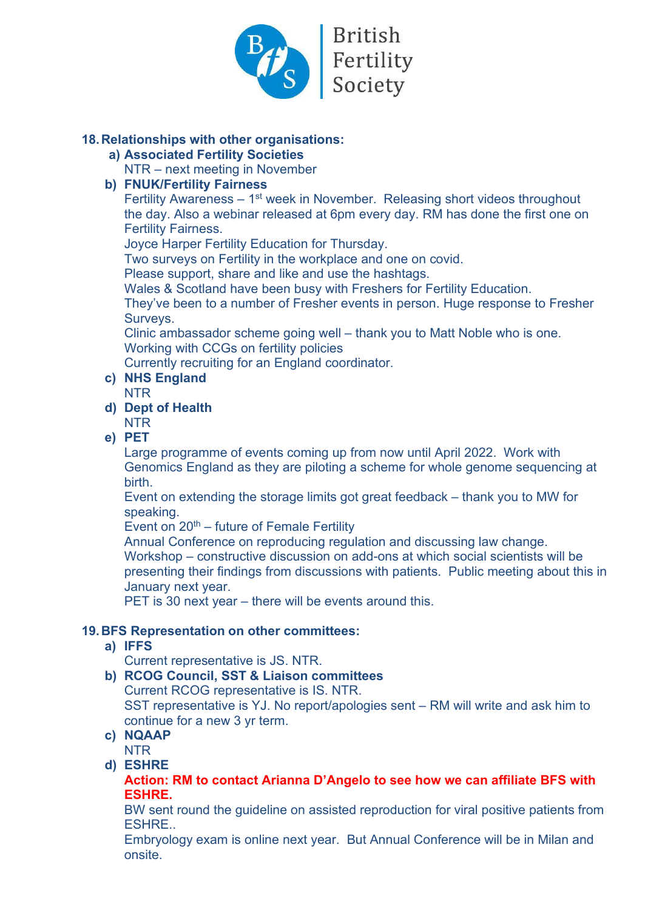

# **18.Relationships with other organisations:**

- **a) Associated Fertility Societies**
	- NTR next meeting in November

# **b) FNUK/Fertility Fairness**

Fertility Awareness  $-1$ <sup>st</sup> week in November. Releasing short videos throughout the day. Also a webinar released at 6pm every day. RM has done the first one on Fertility Fairness.

Joyce Harper Fertility Education for Thursday.

Two surveys on Fertility in the workplace and one on covid.

Please support, share and like and use the hashtags.

Wales & Scotland have been busy with Freshers for Fertility Education.

They've been to a number of Fresher events in person. Huge response to Fresher Surveys.

Clinic ambassador scheme going well – thank you to Matt Noble who is one. Working with CCGs on fertility policies

Currently recruiting for an England coordinator.

- **c) NHS England**
- NTR
- **d) Dept of Health** NTR

**e) PET**

Large programme of events coming up from now until April 2022. Work with Genomics England as they are piloting a scheme for whole genome sequencing at birth.

Event on extending the storage limits got great feedback – thank you to MW for speaking.

Event on  $20<sup>th</sup>$  – future of Female Fertility

Annual Conference on reproducing regulation and discussing law change.

Workshop – constructive discussion on add-ons at which social scientists will be presenting their findings from discussions with patients. Public meeting about this in January next year.

PET is 30 next year – there will be events around this.

# **19.BFS Representation on other committees:**

**a) IFFS**

Current representative is JS. NTR.

- **b) RCOG Council, SST & Liaison committees** Current RCOG representative is IS. NTR. SST representative is YJ. No report/apologies sent – RM will write and ask him to continue for a new 3 yr term.
- **c) NQAAP** NTR
- **d) ESHRE**

**Action: RM to contact Arianna D'Angelo to see how we can affiliate BFS with ESHRE.** 

BW sent round the guideline on assisted reproduction for viral positive patients from ESHRE..

Embryology exam is online next year. But Annual Conference will be in Milan and onsite.